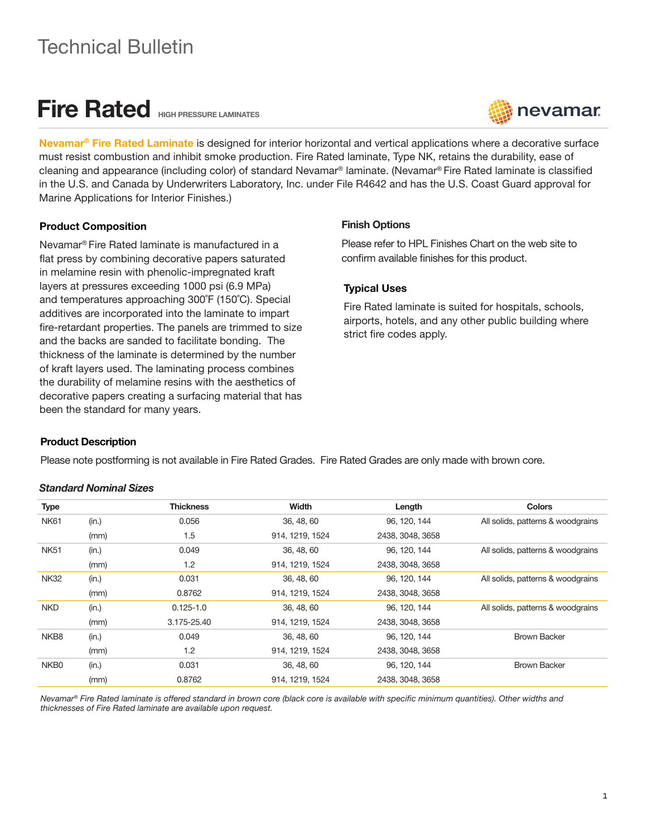## Technical Bulletin

# Fire Rated HIGH PRESSURE LAMINATES



Nevamar<sup>®</sup> Fire Rated Laminate is designed for interior horizontal and vertical applications where a decorative surface must resist combustion and inhibit smoke production. Fire Rated laminate, Type NK, retains the durability, ease of cleaning and appearance (including color) of standard Nevamar® laminate. (Nevamar® Fire Rated laminate is classified in the U.S. and Canada by Underwriters Laboratory, Inc. under File R4642 and has the U.S. Coast Guard approval for Marine Applications for Interior Finishes.)

## Product Composition

Nevamar® Fire Rated laminate is manufactured in a flat press by combining decorative papers saturated in melamine resin with phenolic-impregnated kraft layers at pressures exceeding 1000 psi (6.9 MPa) and temperatures approaching 300˚F (150˚C). Special additives are incorporated into the laminate to impart fire-retardant properties. The panels are trimmed to size and the backs are sanded to facilitate bonding. The thickness of the laminate is determined by the number of kraft layers used. The laminating process combines the durability of melamine resins with the aesthetics of decorative papers creating a surfacing material that has been the standard for many years.

## Finish Options

Please refer to HPL Finishes Chart on the web site to confirm available finishes for this product.

## Typical Uses

Fire Rated laminate is suited for hospitals, schools, airports, hotels, and any other public building where strict fire codes apply.

## Product Description

Please note postforming is not available in Fire Rated Grades. Fire Rated Grades are only made with brown core.

#### *Standard Nominal Sizes*

| <b>Type</b> |       | <b>Thickness</b> | Width           | Length           | <b>Colors</b>                     |
|-------------|-------|------------------|-----------------|------------------|-----------------------------------|
| <b>NK61</b> | (in.) | 0.056            | 36, 48, 60      | 96, 120, 144     | All solids, patterns & woodgrains |
|             | (mm)  | 1.5              | 914, 1219, 1524 | 2438, 3048, 3658 |                                   |
| <b>NK51</b> | (in.) | 0.049            | 36, 48, 60      | 96, 120, 144     | All solids, patterns & woodgrains |
|             | (mm)  | 1.2              | 914, 1219, 1524 | 2438, 3048, 3658 |                                   |
| <b>NK32</b> | (in.) | 0.031            | 36, 48, 60      | 96, 120, 144     | All solids, patterns & woodgrains |
|             | (mm)  | 0.8762           | 914, 1219, 1524 | 2438, 3048, 3658 |                                   |
| <b>NKD</b>  | (in.) | $0.125 - 1.0$    | 36, 48, 60      | 96, 120, 144     | All solids, patterns & woodgrains |
|             | (mm)  | 3.175-25.40      | 914, 1219, 1524 | 2438, 3048, 3658 |                                   |
| NKB8        | (in.) | 0.049            | 36, 48, 60      | 96, 120, 144     | <b>Brown Backer</b>               |
|             | (mm)  | 1.2              | 914, 1219, 1524 | 2438, 3048, 3658 |                                   |
| NKB0        | (in.) | 0.031            | 36, 48, 60      | 96, 120, 144     | <b>Brown Backer</b>               |
|             | (mm)  | 0.8762           | 914, 1219, 1524 | 2438, 3048, 3658 |                                   |

*Nevamar® Fire Rated laminate is offered standard in brown core (black core is available with specific minimum quantities). Other widths and thicknesses of Fire Rated laminate are available upon request.*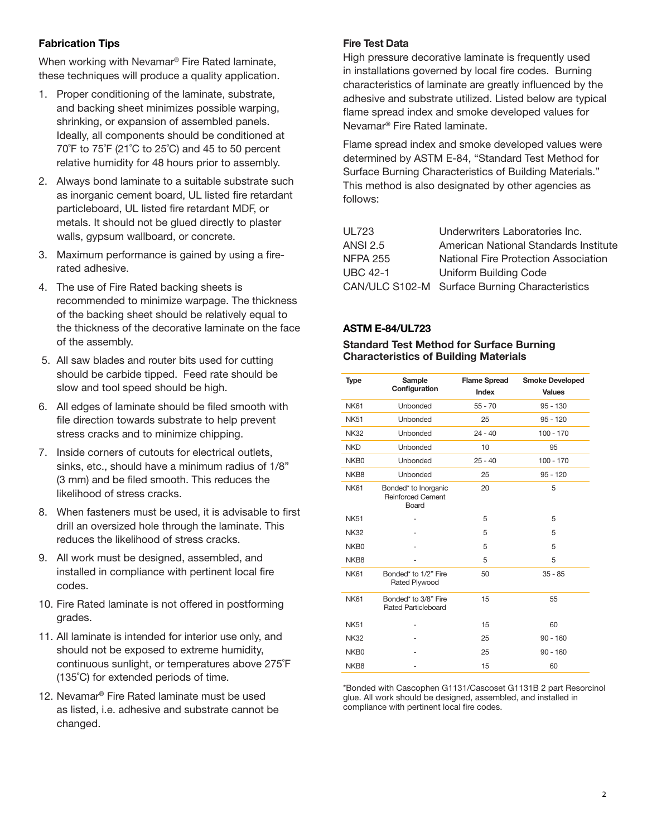## Fabrication Tips

When working with Nevamar® Fire Rated laminate, these techniques will produce a quality application.

- 1. Proper conditioning of the laminate, substrate, and backing sheet minimizes possible warping, shrinking, or expansion of assembled panels. Ideally, all components should be conditioned at  $70^{\circ}$ F to  $75^{\circ}$ F (21 $^{\circ}$ C to 25 $^{\circ}$ C) and 45 to 50 percent relative humidity for 48 hours prior to assembly.
- 2. Always bond laminate to a suitable substrate such as inorganic cement board, UL listed fire retardant particleboard, UL listed fire retardant MDF, or metals. It should not be glued directly to plaster walls, gypsum wallboard, or concrete.
- 3. Maximum performance is gained by using a firerated adhesive.
- 4. The use of Fire Rated backing sheets is recommended to minimize warpage. The thickness of the backing sheet should be relatively equal to the thickness of the decorative laminate on the face of the assembly.
- 5. All saw blades and router bits used for cutting should be carbide tipped. Feed rate should be slow and tool speed should be high.
- 6. All edges of laminate should be filed smooth with file direction towards substrate to help prevent stress cracks and to minimize chipping.
- 7. Inside corners of cutouts for electrical outlets, sinks, etc., should have a minimum radius of 1/8" (3 mm) and be filed smooth. This reduces the likelihood of stress cracks.
- 8. When fasteners must be used, it is advisable to first drill an oversized hole through the laminate. This reduces the likelihood of stress cracks.
- 9. All work must be designed, assembled, and installed in compliance with pertinent local fire codes.
- 10. Fire Rated laminate is not offered in postforming grades.
- 11. All laminate is intended for interior use only, and should not be exposed to extreme humidity, continuous sunlight, or temperatures above 275˚F (135˚C) for extended periods of time.
- 12. Nevamar® Fire Rated laminate must be used as listed, i.e. adhesive and substrate cannot be changed.

## Fire Test Data

High pressure decorative laminate is frequently used in installations governed by local fire codes. Burning characteristics of laminate are greatly influenced by the adhesive and substrate utilized. Listed below are typical flame spread index and smoke developed values for Nevamar® Fire Rated laminate.

Flame spread index and smoke developed values were determined by ASTM E-84, "Standard Test Method for Surface Burning Characteristics of Building Materials." This method is also designated by other agencies as follows:

| <b>UL723</b>    | Underwriters Laboratories Inc.                 |
|-----------------|------------------------------------------------|
|                 |                                                |
| <b>ANSI 2.5</b> | American National Standards Institute          |
| <b>NFPA 255</b> | National Fire Protection Association           |
| <b>UBC 42-1</b> | <b>Uniform Building Code</b>                   |
|                 | CAN/ULC S102-M Surface Burning Characteristics |
|                 |                                                |

## ASTM E-84/UL723

#### Standard Test Method for Surface Burning Characteristics of Building Materials

| <b>Type</b>      | Sample<br>Configuration                                   | <b>Flame Spread</b><br>Index | <b>Smoke Developed</b><br><b>Values</b> |  |
|------------------|-----------------------------------------------------------|------------------------------|-----------------------------------------|--|
| <b>NK61</b>      | Unbonded                                                  | $55 - 70$                    | $95 - 130$                              |  |
| <b>NK51</b>      | Unbonded                                                  | 25                           | $95 - 120$                              |  |
| <b>NK32</b>      | <b>Unbonded</b>                                           | $24 - 40$                    | $100 - 170$                             |  |
| <b>NKD</b>       | Unbonded                                                  | 10                           | 95                                      |  |
| NKB <sub>0</sub> | Unbonded                                                  | $25 - 40$                    | $100 - 170$                             |  |
| NKB8             | <b>Unbonded</b>                                           | 25                           | $95 - 120$                              |  |
| <b>NK61</b>      | Bonded* to Inorganic<br><b>Reinforced Cement</b><br>Board | 20                           | 5                                       |  |
| <b>NK51</b>      |                                                           | 5                            | 5                                       |  |
| <b>NK32</b>      |                                                           | 5                            | 5                                       |  |
| NKB <sub>0</sub> |                                                           | 5                            | 5                                       |  |
| NKB8             |                                                           | 5                            | 5                                       |  |
| <b>NK61</b>      | Bonded* to 1/2" Fire<br><b>Rated Plywood</b>              | 50                           | $35 - 85$                               |  |
| <b>NK61</b>      | Bonded* to 3/8" Fire<br><b>Rated Particleboard</b>        | 15                           | 55                                      |  |
| <b>NK51</b>      |                                                           | 15                           | 60                                      |  |
| <b>NK32</b>      |                                                           | 25                           | $90 - 160$                              |  |
| NKB <sub>0</sub> |                                                           | 25                           | $90 - 160$                              |  |
| NKB8             |                                                           | 15                           | 60                                      |  |

\*Bonded with Cascophen G1131/Cascoset G1131B 2 part Resorcinol glue. All work should be designed, assembled, and installed in compliance with pertinent local fire codes.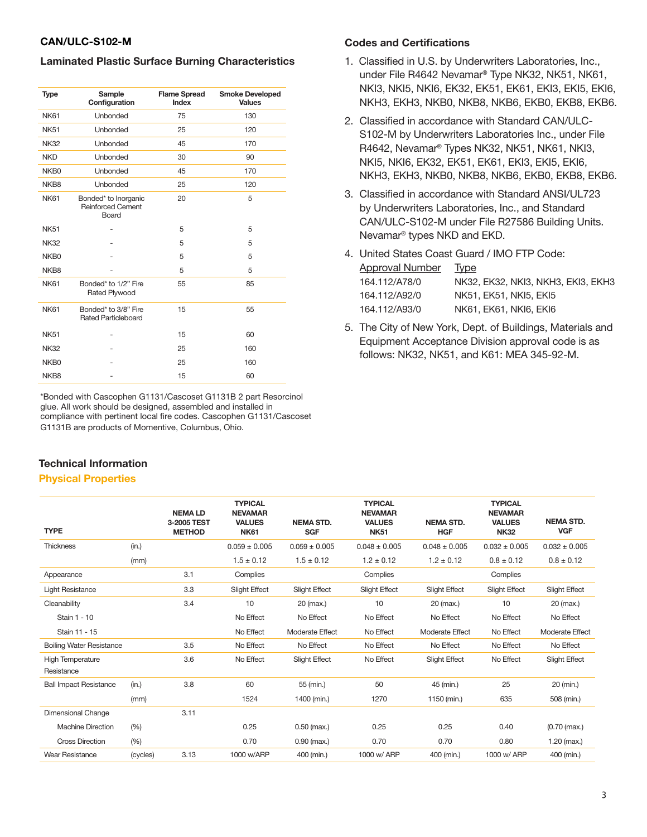### CAN/ULC-S102-M

#### Laminated Plastic Surface Burning Characteristics

| <b>Type</b>      | Sample<br>Configuration                                   | <b>Flame Spread</b><br>Index | <b>Smoke Developed</b><br><b>Values</b> |  |  |
|------------------|-----------------------------------------------------------|------------------------------|-----------------------------------------|--|--|
| <b>NK61</b>      | <b>Unbonded</b>                                           | 75                           | 130                                     |  |  |
| <b>NK51</b>      | Unbonded                                                  | 25                           | 120                                     |  |  |
| <b>NK32</b>      | Unbonded                                                  | 45                           | 170                                     |  |  |
| <b>NKD</b>       | <b>Unbonded</b>                                           | 30                           | 90                                      |  |  |
| NKB0             | Unbonded                                                  | 45                           | 170                                     |  |  |
| NKB8             | Unbonded                                                  | 25                           | 120                                     |  |  |
| <b>NK61</b>      | Bonded* to Inorganic<br><b>Reinforced Cement</b><br>Board | 20                           | 5                                       |  |  |
| <b>NK51</b>      |                                                           | 5                            | 5                                       |  |  |
| <b>NK32</b>      |                                                           | 5                            | 5                                       |  |  |
| NKB <sub>0</sub> |                                                           | 5                            | 5                                       |  |  |
| NKB8             |                                                           | 5                            | 5                                       |  |  |
| <b>NK61</b>      | Bonded* to 1/2" Fire<br><b>Rated Plywood</b>              | 55                           | 85                                      |  |  |
| <b>NK61</b>      | Bonded* to 3/8" Fire<br><b>Rated Particleboard</b>        | 15                           | 55                                      |  |  |
| <b>NK51</b>      |                                                           | 15                           | 60                                      |  |  |
| <b>NK32</b>      |                                                           | 25                           | 160                                     |  |  |
| NKB <sub>0</sub> |                                                           | 25                           | 160                                     |  |  |
| NKB8             |                                                           | 15                           | 60                                      |  |  |

\*Bonded with Cascophen G1131/Cascoset G1131B 2 part Resorcinol glue. All work should be designed, assembled and installed in compliance with pertinent local fire codes. Cascophen G1131/Cascoset G1131B are products of Momentive, Columbus, Ohio.

## Technical Information

#### Physical Properties

#### Codes and Certifications

- 1. Classified in U.S. by Underwriters Laboratories, Inc., under File R4642 Nevamar® Type NK32, NK51, NK61, NKI3, NKI5, NKI6, EK32, EK51, EK61, EKI3, EKI5, EKI6, NKH3, EKH3, NKB0, NKB8, NKB6, EKB0, EKB8, EKB6.
- 2. Classified in accordance with Standard CAN/ULC-S102-M by Underwriters Laboratories Inc., under File R4642, Nevamar® Types NK32, NK51, NK61, NKI3, NKI5, NKI6, EK32, EK51, EK61, EKI3, EKI5, EKI6, NKH3, EKH3, NKB0, NKB8, NKB6, EKB0, EKB8, EKB6.
- 3. Classified in accordance with Standard ANSI/UL723 by Underwriters Laboratories, Inc., and Standard CAN/ULC-S102-M under File R27586 Building Units. Nevamar® types NKD and EKD.
- 4. United States Coast Guard / IMO FTP Code: Approval Number Type 164.112/A78/0 NK32, EK32, NKI3, NKH3, EKI3, EKH3 164.112/A92/0 NK51, EK51, NKI5, EKI5 164.112/A93/0 NK61, EK61, NKI6, EKI6
- 5. The City of New York, Dept. of Buildings, Materials and Equipment Acceptance Division approval code is as follows: NK32, NK51, and K61: MEA 345-92-M.

|                                       |          | <b>NEMALD</b><br>3-2005 TEST | <b>TYPICAL</b><br><b>NEVAMAR</b><br><b>VALUES</b> | <b>NEMA STD.</b>     | <b>TYPICAL</b><br><b>NEVAMAR</b><br><b>VALUES</b> | <b>NEMA STD.</b>     | <b>TYPICAL</b><br><b>NEVAMAR</b><br><b>VALUES</b> | <b>NEMA STD.</b>     |
|---------------------------------------|----------|------------------------------|---------------------------------------------------|----------------------|---------------------------------------------------|----------------------|---------------------------------------------------|----------------------|
| <b>TYPE</b>                           |          | <b>METHOD</b>                | <b>NK61</b>                                       | <b>SGF</b>           | <b>NK51</b>                                       | <b>HGF</b>           | <b>NK32</b>                                       | <b>VGF</b>           |
| <b>Thickness</b>                      | (in.)    |                              | $0.059 \pm 0.005$                                 | $0.059 \pm 0.005$    | $0.048 \pm 0.005$                                 | $0.048 \pm 0.005$    | $0.032 \pm 0.005$                                 | $0.032 \pm 0.005$    |
|                                       | (mm)     |                              | $1.5 \pm 0.12$                                    | $1.5 \pm 0.12$       | $1.2 \pm 0.12$                                    | $1.2 \pm 0.12$       | $0.8 \pm 0.12$                                    | $0.8 \pm 0.12$       |
| Appearance                            |          | 3.1                          | Complies                                          |                      | Complies                                          |                      | Complies                                          |                      |
| <b>Light Resistance</b>               |          | 3.3                          | <b>Slight Effect</b>                              | <b>Slight Effect</b> | Slight Effect                                     | <b>Slight Effect</b> | Slight Effect                                     | <b>Slight Effect</b> |
| Cleanability                          |          | 3.4                          | 10                                                | 20 (max.)            | 10                                                | 20 (max.)            | 10                                                | 20 (max.)            |
| Stain 1 - 10                          |          |                              | No Effect                                         | No Effect            | No Effect                                         | No Effect            | No Effect                                         | No Effect            |
| Stain 11 - 15                         |          |                              | No Effect                                         | Moderate Effect      | No Effect                                         | Moderate Effect      | No Effect                                         | Moderate Effect      |
| <b>Boiling Water Resistance</b>       |          | 3.5                          | No Effect                                         | No Effect            | No Effect                                         | No Effect            | No Effect                                         | No Effect            |
| <b>High Temperature</b><br>Resistance |          | 3.6                          | No Effect                                         | <b>Slight Effect</b> | No Effect                                         | <b>Slight Effect</b> | No Effect                                         | <b>Slight Effect</b> |
| <b>Ball Impact Resistance</b>         | (in.)    | 3.8                          | 60                                                | 55 (min.)            | 50                                                | 45 (min.)            | 25                                                | 20 (min.)            |
|                                       | (mm)     |                              | 1524                                              | 1400 (min.)          | 1270                                              | 1150 (min.)          | 635                                               | 508 (min.)           |
| Dimensional Change                    |          | 3.11                         |                                                   |                      |                                                   |                      |                                                   |                      |
| <b>Machine Direction</b>              | (% )     |                              | 0.25                                              | $0.50$ (max.)        | 0.25                                              | 0.25                 | 0.40                                              | $(0.70 \, (max.)$    |
| <b>Cross Direction</b>                | (% )     |                              | 0.70                                              | $0.90$ (max.)        | 0.70                                              | 0.70                 | 0.80                                              | $1.20$ (max.)        |
| <b>Wear Resistance</b>                | (cycles) | 3.13                         | 1000 w/ARP                                        | 400 (min.)           | 1000 w/ ARP                                       | 400 (min.)           | 1000 w/ ARP                                       | 400 (min.)           |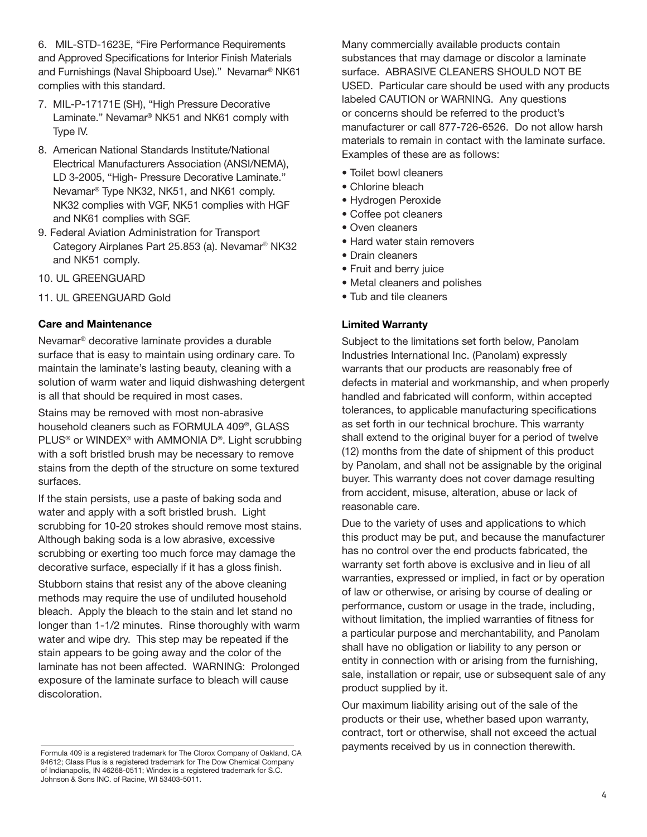6. MIL-STD-1623E, "Fire Performance Requirements and Approved Specifications for Interior Finish Materials and Furnishings (Naval Shipboard Use)." Nevamar® NK61 complies with this standard.

- 7. MIL-P-17171E (SH), "High Pressure Decorative Laminate." Nevamar® NK51 and NK61 comply with Type IV.
- 8. American National Standards Institute/National Electrical Manufacturers Association (ANSI/NEMA), LD 3-2005, "High- Pressure Decorative Laminate." Nevamar® Type NK32, NK51, and NK61 comply. NK32 complies with VGF, NK51 complies with HGF and NK61 complies with SGF.
- 9. Federal Aviation Administration for Transport Category Airplanes Part 25.853 (a). Nevamar® NK32 and NK51 comply.
- 10. UL GREENGUARD
- 11. UL GREENGUARD Gold

## Care and Maintenance

Nevamar® decorative laminate provides a durable surface that is easy to maintain using ordinary care. To maintain the laminate's lasting beauty, cleaning with a solution of warm water and liquid dishwashing detergent is all that should be required in most cases.

Stains may be removed with most non-abrasive household cleaners such as FORMULA 409®, GLASS PLUS® or WINDEX® with AMMONIA D®. Light scrubbing with a soft bristled brush may be necessary to remove stains from the depth of the structure on some textured surfaces.

If the stain persists, use a paste of baking soda and water and apply with a soft bristled brush. Light scrubbing for 10-20 strokes should remove most stains. Although baking soda is a low abrasive, excessive scrubbing or exerting too much force may damage the decorative surface, especially if it has a gloss finish.

Stubborn stains that resist any of the above cleaning methods may require the use of undiluted household bleach. Apply the bleach to the stain and let stand no longer than 1-1/2 minutes. Rinse thoroughly with warm water and wipe dry. This step may be repeated if the stain appears to be going away and the color of the laminate has not been affected. WARNING: Prolonged exposure of the laminate surface to bleach will cause discoloration.

Many commercially available products contain substances that may damage or discolor a laminate surface. ABRASIVE CLEANERS SHOULD NOT BE USED. Particular care should be used with any products labeled CAUTION or WARNING. Any questions or concerns should be referred to the product's manufacturer or call 877-726-6526. Do not allow harsh materials to remain in contact with the laminate surface. Examples of these are as follows:

- Toilet bowl cleaners
- Chlorine bleach
- Hydrogen Peroxide
- Coffee pot cleaners
- Oven cleaners
- Hard water stain removers
- Drain cleaners
- Fruit and berry juice
- Metal cleaners and polishes
- Tub and tile cleaners

## Limited Warranty

Subject to the limitations set forth below, Panolam Industries International Inc. (Panolam) expressly warrants that our products are reasonably free of defects in material and workmanship, and when properly handled and fabricated will conform, within accepted tolerances, to applicable manufacturing specifications as set forth in our technical brochure. This warranty shall extend to the original buyer for a period of twelve (12) months from the date of shipment of this product by Panolam, and shall not be assignable by the original buyer. This warranty does not cover damage resulting from accident, misuse, alteration, abuse or lack of reasonable care.

Due to the variety of uses and applications to which this product may be put, and because the manufacturer has no control over the end products fabricated, the warranty set forth above is exclusive and in lieu of all warranties, expressed or implied, in fact or by operation of law or otherwise, or arising by course of dealing or performance, custom or usage in the trade, including, without limitation, the implied warranties of fitness for a particular purpose and merchantability, and Panolam shall have no obligation or liability to any person or entity in connection with or arising from the furnishing, sale, installation or repair, use or subsequent sale of any product supplied by it.

Our maximum liability arising out of the sale of the products or their use, whether based upon warranty, contract, tort or otherwise, shall not exceed the actual payments received by us in connection therewith.

Formula 409 is a registered trademark for The Clorox Company of Oakland, CA 94612; Glass Plus is a registered trademark for The Dow Chemical Company of Indianapolis, IN 46268-0511; Windex is a registered trademark for S.C. Johnson & Sons INC. of Racine, WI 53403-5011.